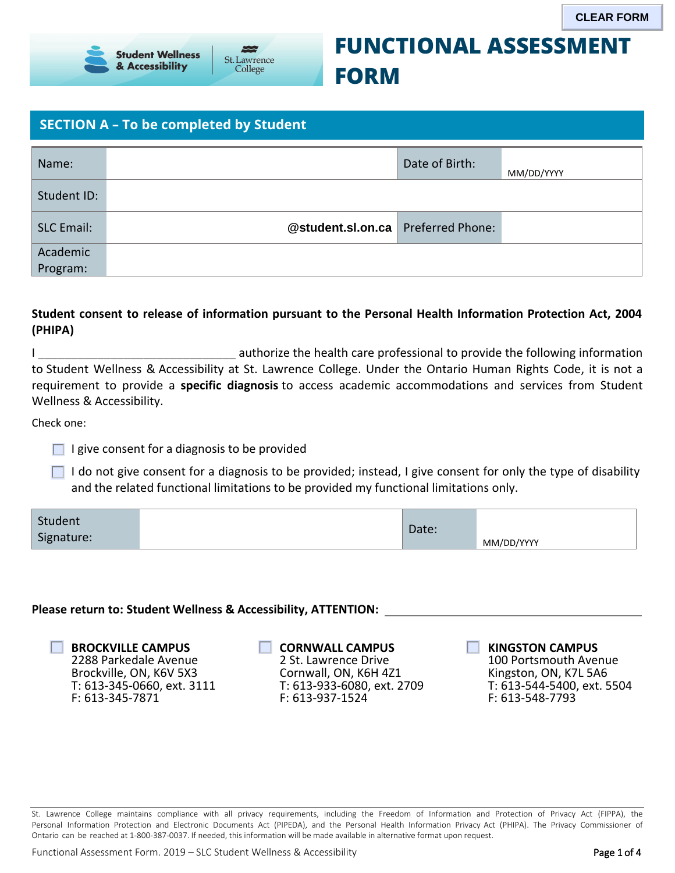

# **FUNCTIONAL ASSESSMENT FORM**

### **SECTION A – To be completed by Student**

|                           | <b>Student Wellness</b><br>& Accessibility                                                                                                                                                                                                                                                                                                                                                                                                                  | St. Lawrence<br>College                                                     | <b>FORM</b>                                                                                           |                         | <b>FUNCTIONAL ASSESSMENT</b>                                                                | <b>CLEAR FORM</b>          |
|---------------------------|-------------------------------------------------------------------------------------------------------------------------------------------------------------------------------------------------------------------------------------------------------------------------------------------------------------------------------------------------------------------------------------------------------------------------------------------------------------|-----------------------------------------------------------------------------|-------------------------------------------------------------------------------------------------------|-------------------------|---------------------------------------------------------------------------------------------|----------------------------|
|                           | <b>SECTION A - To be completed by Student</b>                                                                                                                                                                                                                                                                                                                                                                                                               |                                                                             |                                                                                                       |                         |                                                                                             |                            |
| Name:                     |                                                                                                                                                                                                                                                                                                                                                                                                                                                             |                                                                             |                                                                                                       | Date of Birth:          | MM/DD/YYYY                                                                                  |                            |
| Student ID:               |                                                                                                                                                                                                                                                                                                                                                                                                                                                             |                                                                             |                                                                                                       |                         |                                                                                             |                            |
| <b>SLC Email:</b>         |                                                                                                                                                                                                                                                                                                                                                                                                                                                             |                                                                             | @student.sl.on.ca                                                                                     | <b>Preferred Phone:</b> |                                                                                             |                            |
| Academic<br>Program:      |                                                                                                                                                                                                                                                                                                                                                                                                                                                             |                                                                             |                                                                                                       |                         |                                                                                             |                            |
| (PHIPA)                   | Student consent to release of information pursuant to the Personal Health Information Protection Act, 2004                                                                                                                                                                                                                                                                                                                                                  |                                                                             |                                                                                                       |                         |                                                                                             |                            |
| Wellness & Accessibility. | to Student Wellness & Accessibility at St. Lawrence College. Under the Ontario Human Rights Code, it is not a<br>requirement to provide a specific diagnosis to access academic accommodations and services from Student                                                                                                                                                                                                                                    | authorize the health care professional to provide the following information |                                                                                                       |                         |                                                                                             |                            |
| Check one:                |                                                                                                                                                                                                                                                                                                                                                                                                                                                             |                                                                             |                                                                                                       |                         |                                                                                             |                            |
|                           | I give consent for a diagnosis to be provided                                                                                                                                                                                                                                                                                                                                                                                                               |                                                                             |                                                                                                       |                         |                                                                                             |                            |
|                           | I do not give consent for a diagnosis to be provided; instead, I give consent for only the type of disability<br>and the related functional limitations to be provided my functional limitations only.                                                                                                                                                                                                                                                      |                                                                             |                                                                                                       |                         |                                                                                             |                            |
| Student<br>Signature:     |                                                                                                                                                                                                                                                                                                                                                                                                                                                             |                                                                             |                                                                                                       | Date:                   | MM/DD/YYYY                                                                                  |                            |
|                           | Please return to: Student Wellness & Accessibility, ATTENTION:                                                                                                                                                                                                                                                                                                                                                                                              |                                                                             |                                                                                                       |                         |                                                                                             |                            |
|                           | <b>BROCKVILLE CAMPUS</b><br>2288 Parkedale Avenue<br>Brockville, ON, K6V 5X3<br>T: 613-345-0660, ext. 3111<br>F: 613-345-7871                                                                                                                                                                                                                                                                                                                               | F: 613-937-1524                                                             | <b>CORNWALL CAMPUS</b><br>2 St. Lawrence Drive<br>Cornwall, ON, K6H 4Z1<br>T: 613-933-6080, ext. 2709 |                         | <b>KINGSTON CAMPUS</b><br>100 Portsmouth Avenue<br>Kingston, ON, K7L 5A6<br>F: 613-548-7793 | T: 613-544-5400, ext. 5504 |
|                           | St. Lawrence College maintains compliance with all privacy requirements, including the Freedom of Information and Protection of Privacy Act (FIPPA), the<br>Personal Information Protection and Electronic Documents Act (PIPEDA), and the Personal Health Information Privacy Act (PHIPA). The Privacy Commissioner of<br>Ontario can be reached at 1-800-387-0037. If needed, this information will be made available in alternative format upon request. |                                                                             |                                                                                                       |                         |                                                                                             |                            |
|                           | Functional Assessment Form. 2019 - SLC Student Wellness & Accessibility                                                                                                                                                                                                                                                                                                                                                                                     |                                                                             |                                                                                                       |                         |                                                                                             | Page 1 of 4                |

#### **Student consent to release of information pursuant to the Personal Health Information Protection Act, 2004 (PHIPA)**

- $\Box$  I give consent for a diagnosis to be provided
- $\Box$  I do not give consent for a diagnosis to be provided; instead, I give consent for only the type of disability and the related functional limitations to be provided my functional limitations only.

| Student<br>Signature: | $\mathsf{Date}$ : | MM/DD/YYYY |
|-----------------------|-------------------|------------|
|-----------------------|-------------------|------------|

#### **Please return to: Student Wellness & Accessibility, ATTENTION:**

| <b>BROCKVILLE CAMPUS</b>   |
|----------------------------|
| 2288 Parkedale Avenue      |
| Brockville, ON, K6V 5X3    |
| T: 613-345-0660, ext. 3111 |
| F: 613-345-7871            |

| <b>CORNWALL CAMPUS</b>     |
|----------------------------|
| 2 St. Lawrence Drive       |
| Cornwall, ON, K6H 4Z1      |
| T: 613-933-6080, ext. 2709 |
| F: 613-937-1524            |

#### **KINGSTON CAMPUS**

St. Lawrence College maintains compliance with all privacy requirements, including the Freedom of Information and Protection of Privacy Act (FIPPA), the Personal Information Protection and Electronic Documents Act (PIPEDA), and the Personal Health Information Privacy Act (PHIPA). The Privacy Commissioner of Ontario can be reached at 1-800-387-0037. If needed, this information will be made available in alternative format upon request.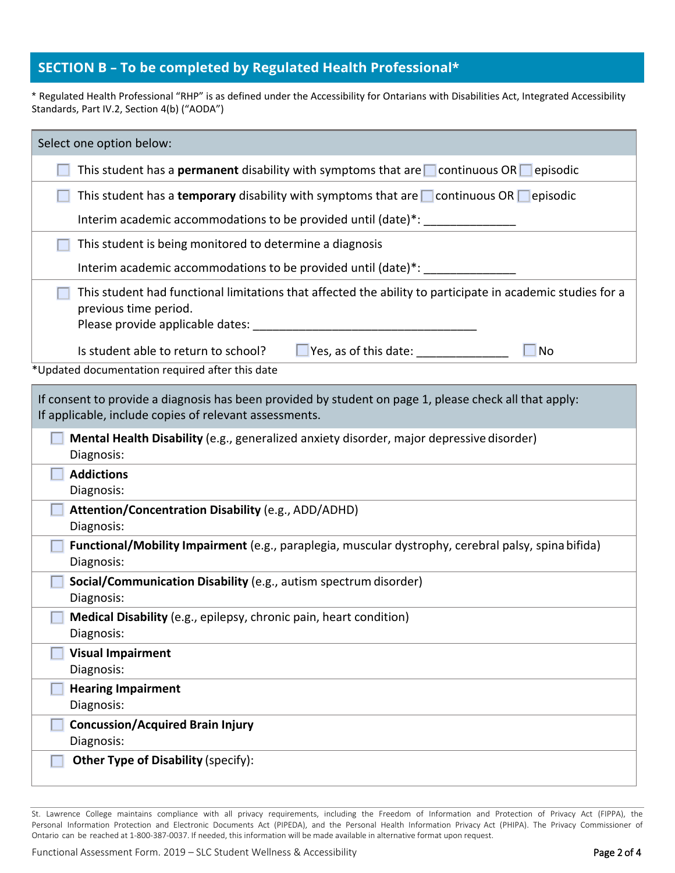#### **SECTION B – To be completed by Regulated Health Professional\***

\* Regulated Health Professional "RHP" is as defined under the Accessibility for Ontarians with Disabilities Act, Integrated Accessibility Standards, Part IV.2, Section 4(b) ("AODA")

| Select one option below:                                                                                                                                         |
|------------------------------------------------------------------------------------------------------------------------------------------------------------------|
| This student has a <b>permanent</b> disability with symptoms that are $\Box$ continuous OR $\Box$ episodic                                                       |
| This student has a temporary disability with symptoms that are $\Box$ continuous OR $\Box$ episodic                                                              |
| Interim academic accommodations to be provided until (date)*: ________                                                                                           |
| This student is being monitored to determine a diagnosis                                                                                                         |
| Interim academic accommodations to be provided until (date)*: __________________                                                                                 |
| This student had functional limitations that affected the ability to participate in academic studies for a<br>previous time period.                              |
| $\Box$ Yes, as of this date: $\Box$<br>Is student able to return to school?<br><b>No</b>                                                                         |
| *Updated documentation required after this date                                                                                                                  |
| If consent to provide a diagnosis has been provided by student on page 1, please check all that apply:<br>If applicable, include copies of relevant assessments. |
| Mental Health Disability (e.g., generalized anxiety disorder, major depressive disorder)<br>Diagnosis:                                                           |
| <b>Addictions</b><br>Diagnosis:                                                                                                                                  |
| Attention/Concentration Disability (e.g., ADD/ADHD)<br>Diagnosis:                                                                                                |
| Functional/Mobility Impairment (e.g., paraplegia, muscular dystrophy, cerebral palsy, spina bifida)<br>Diagnosis:                                                |
| Social/Communication Disability (e.g., autism spectrum disorder)<br>Diagnosis:                                                                                   |
| Medical Disability (e.g., epilepsy, chronic pain, heart condition)<br>Diagnosis:                                                                                 |
| <b>Visual Impairment</b><br>Diagnosis:                                                                                                                           |
| <b>Hearing Impairment</b><br>Diagnosis:                                                                                                                          |
| <b>Concussion/Acquired Brain Injury</b><br>Diagnosis:                                                                                                            |
| <b>Other Type of Disability (specify):</b>                                                                                                                       |

St. Lawrence College maintains compliance with all privacy requirements, including the Freedom of Information and Protection of Privacy Act (FIPPA), the Personal Information Protection and Electronic Documents Act (PIPEDA), and the Personal Health Information Privacy Act (PHIPA). The Privacy Commissioner of Ontario can be reached at 1-800-387-0037. If needed, this information will be made available in alternative format upon request.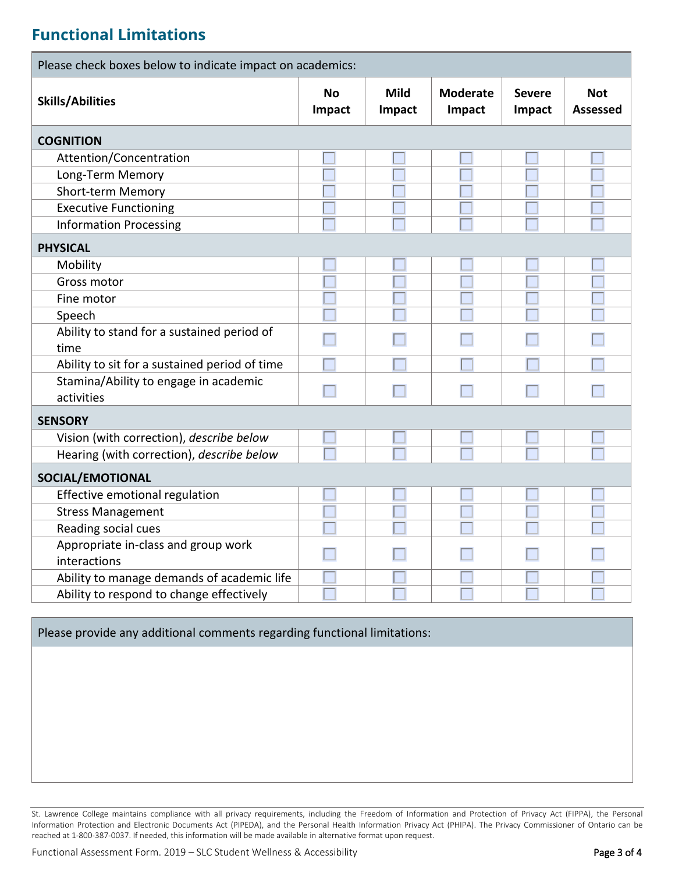## **Functional Limitations**

| Please check boxes below to indicate impact on academics: |              |                       |                           |                         |                               |
|-----------------------------------------------------------|--------------|-----------------------|---------------------------|-------------------------|-------------------------------|
| <b>Skills/Abilities</b>                                   | No<br>Impact | <b>Mild</b><br>Impact | <b>Moderate</b><br>Impact | <b>Severe</b><br>Impact | <b>Not</b><br><b>Assessed</b> |
| <b>COGNITION</b>                                          |              |                       |                           |                         |                               |
| Attention/Concentration                                   |              |                       |                           |                         |                               |
| Long-Term Memory                                          |              |                       |                           |                         |                               |
| Short-term Memory                                         |              |                       |                           |                         |                               |
| <b>Executive Functioning</b>                              |              |                       |                           |                         |                               |
| <b>Information Processing</b>                             |              |                       |                           |                         |                               |
| <b>PHYSICAL</b>                                           |              |                       |                           |                         |                               |
| Mobility                                                  |              |                       |                           |                         |                               |
| Gross motor                                               |              |                       |                           |                         |                               |
| Fine motor                                                |              |                       |                           |                         |                               |
| Speech                                                    |              |                       |                           |                         |                               |
| Ability to stand for a sustained period of<br>time        |              |                       |                           |                         |                               |
| Ability to sit for a sustained period of time             |              |                       |                           |                         |                               |
| Stamina/Ability to engage in academic<br>activities       |              |                       |                           |                         |                               |
| <b>SENSORY</b>                                            |              |                       |                           |                         |                               |
| Vision (with correction), describe below                  |              |                       |                           |                         |                               |
| Hearing (with correction), describe below                 |              |                       |                           |                         |                               |
| SOCIAL/EMOTIONAL                                          |              |                       |                           |                         |                               |
| Effective emotional regulation                            |              |                       |                           |                         |                               |
| <b>Stress Management</b>                                  |              |                       |                           |                         |                               |
| Reading social cues                                       |              |                       |                           |                         |                               |
| Appropriate in-class and group work<br>interactions       |              |                       |                           |                         |                               |
| Ability to manage demands of academic life                |              |                       |                           |                         |                               |
| Ability to respond to change effectively                  |              |                       |                           |                         |                               |

Please provide any additional comments regarding functional limitations:

 St. Lawrence College maintains compliance with all privacy requirements, including the Freedom of Information and Protection of Privacy Act (FIPPA), the Personal Information Protection and Electronic Documents Act (PIPEDA), and the Personal Health Information Privacy Act (PHIPA). The Privacy Commissioner of Ontario can be reached at 1-800-387-0037. If needed, this information will be made available in alternative format upon request.

Functional Assessment Form. 2019 – SLC Student Wellness & Accessibility **Page 3 of 4** Page 3 of 4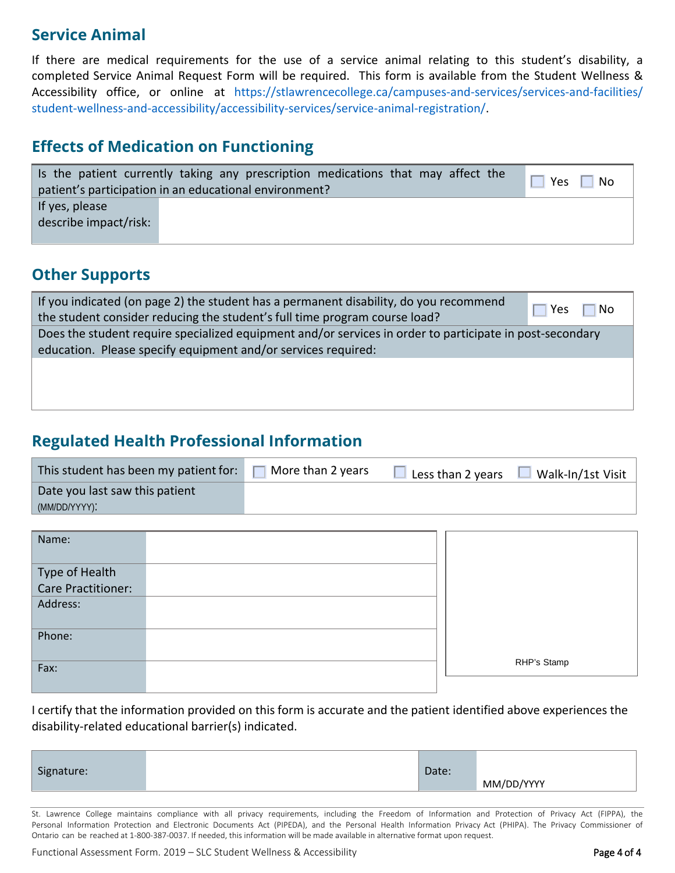## **Service Animal**

If there are medical requirements for the use of a service animal relating to this student's disability, a completed Service Animal Request Form will be required. This form is available from the Student Wellness & Accessibility office, or online at [https://stlawrencecollege.ca/campuses-and-services/services-and-facilities/](https://stlawrencecollege.ca/campuses-and-services/services-and-facilities/student-wellness-and-accessibility/accessibility-services/service-animal-registration/)  [student-wellness-and-accessibility/accessibility-services/service-animal-registration/.](https://stlawrencecollege.ca/campuses-and-services/services-and-facilities/student-wellness-and-accessibility/accessibility-services/service-animal-registration/)

## **Effects of Medication on Functioning**

|                       | Is the patient currently taking any prescription medications that may affect the<br>patient's participation in an educational environment? | $\blacksquare$ Yes $\blacksquare$<br>  No |
|-----------------------|--------------------------------------------------------------------------------------------------------------------------------------------|-------------------------------------------|
| If yes, please        |                                                                                                                                            |                                           |
| describe impact/risk: |                                                                                                                                            |                                           |
|                       |                                                                                                                                            |                                           |

### **Other Supports**

| If you indicated (on page 2) the student has a permanent disability, do you recommend<br>the student consider reducing the student's full time program course load?       | Yes<br><b>No</b> |
|---------------------------------------------------------------------------------------------------------------------------------------------------------------------------|------------------|
| Does the student require specialized equipment and/or services in order to participate in post-secondary<br>education. Please specify equipment and/or services required: |                  |
|                                                                                                                                                                           |                  |
|                                                                                                                                                                           |                  |

## **Regulated Health Professional Information**

| This student has been my patient for: | More than 2 years | Less than 2 years | Walk-In/1st Visit |
|---------------------------------------|-------------------|-------------------|-------------------|
| Date you last saw this patient        |                   |                   |                   |
| (MM/DD/YYYY):                         |                   |                   |                   |

| Name:                                |             |
|--------------------------------------|-------------|
|                                      |             |
| Type of Health<br>Care Practitioner: |             |
|                                      |             |
| Address:                             |             |
|                                      |             |
| Phone:                               |             |
|                                      |             |
| Fax:                                 | RHP's Stamp |
|                                      |             |

I certify that the information provided on this form is accurate and the patient identified above experiences the disability-related educational barrier(s) indicated.

| Signature: | $-+$<br>vale. |            |
|------------|---------------|------------|
|            |               | MM/DD/YYYY |

St. Lawrence College maintains compliance with all privacy requirements, including the Freedom of Information and Protection of Privacy Act (FIPPA), the Personal Information Protection and Electronic Documents Act (PIPEDA), and the Personal Health Information Privacy Act (PHIPA). The Privacy Commissioner of Ontario can be reached at 1-800-387-0037. If needed, this information will be made available in alternative format upon request.

Functional Assessment Form. 2019 – SLC Student Wellness & Accessibility **Page 4 of 4** of 4